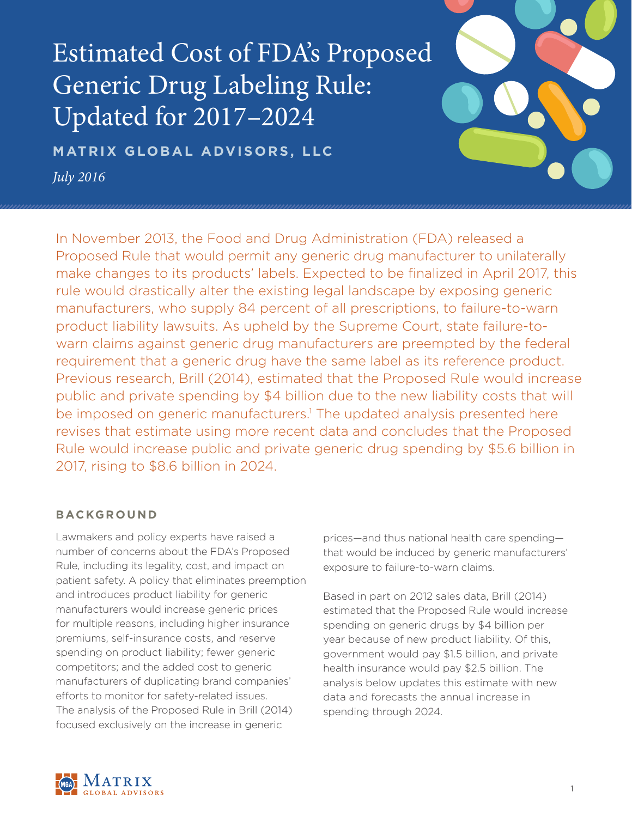Estimated Cost of FDA's Proposed Generic Drug Labeling Rule: Updated for 2017–2024

**MATRIX GLOBAL ADVISORS, LLC** *July 2016*

In November 2013, the Food and Drug Administration (FDA) released a Proposed Rule that would permit any generic drug manufacturer to unilaterally make changes to its products' labels. Expected to be finalized in April 2017, this rule would drastically alter the existing legal landscape by exposing generic manufacturers, who supply 84 percent of all prescriptions, to failure-to-warn product liability lawsuits. As upheld by the Supreme Court, state failure-towarn claims against generic drug manufacturers are preempted by the federal requirement that a generic drug have the same label as its reference product. Previous research, Brill (2014), estimated that the Proposed Rule would increase public and private spending by \$4 billion due to the new liability costs that will be imposed on generic manufacturers.<sup>1</sup> The updated analysis presented here revises that estimate using more recent data and concludes that the Proposed Rule would increase public and private generic drug spending by \$5.6 billion in 2017, rising to \$8.6 billion in 2024.

## **BACKGROUND**

Lawmakers and policy experts have raised a number of concerns about the FDA's Proposed Rule, including its legality, cost, and impact on patient safety. A policy that eliminates preemption and introduces product liability for generic manufacturers would increase generic prices for multiple reasons, including higher insurance premiums, self-insurance costs, and reserve spending on product liability; fewer generic competitors; and the added cost to generic manufacturers of duplicating brand companies' efforts to monitor for safety-related issues. The analysis of the Proposed Rule in Brill (2014) focused exclusively on the increase in generic

prices—and thus national health care spending that would be induced by generic manufacturers' exposure to failure-to-warn claims.

Based in part on 2012 sales data, Brill (2014) estimated that the Proposed Rule would increase spending on generic drugs by \$4 billion per year because of new product liability. Of this, government would pay \$1.5 billion, and private health insurance would pay \$2.5 billion. The analysis below updates this estimate with new data and forecasts the annual increase in spending through 2024.

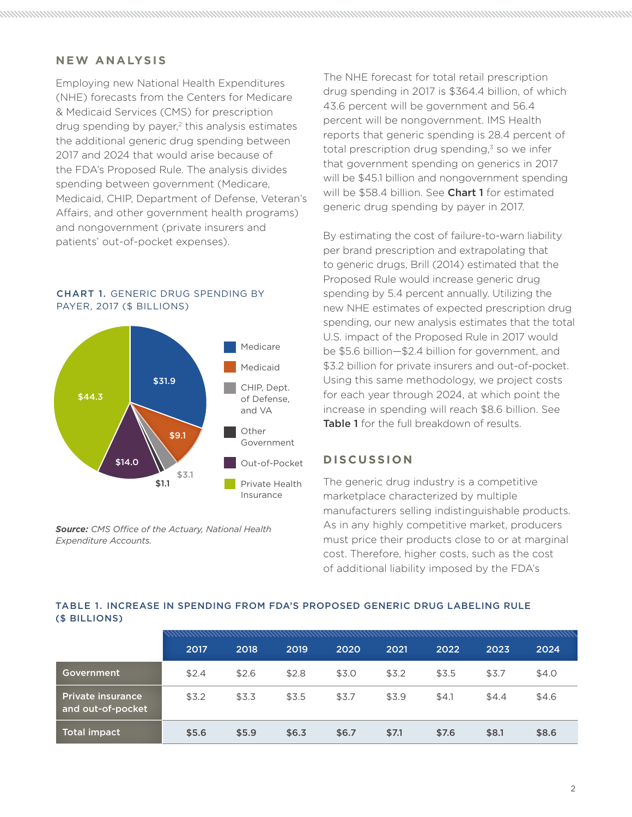## **NEW ANALYSIS**

Employing new National Health Expenditures (NHE) forecasts from the Centers for Medicare & Medicaid Services (CMS) for prescription drug spending by payer, $2$  this analysis estimates the additional generic drug spending between 2017 and 2024 that would arise because of the FDA's Proposed Rule. The analysis divides spending between government (Medicare, Medicaid, CHIP, Department of Defense, Veteran's Affairs, and other government health programs) and nongovernment (private insurers and patients' out-of-pocket expenses).

#### CHART 1. GENERIC DRUG SPENDING BY PAYER, 2017 (\$ BILLIONS)



*Source: CMS Office of the Actuary, National Health Expenditure Accounts.*

The NHE forecast for total retail prescription drug spending in 2017 is \$364.4 billion, of which 43.6 percent will be government and 56.4 percent will be nongovernment. IMS Health reports that generic spending is 28.4 percent of total prescription drug spending, $3$  so we infer that government spending on generics in 2017 will be \$45.1 billion and nongovernment spending will be \$58.4 billion. See Chart 1 for estimated generic drug spending by payer in 2017.

By estimating the cost of failure-to-warn liability per brand prescription and extrapolating that to generic drugs, Brill (2014) estimated that the Proposed Rule would increase generic drug spending by 5.4 percent annually. Utilizing the new NHE estimates of expected prescription drug spending, our new analysis estimates that the total U.S. impact of the Proposed Rule in 2017 would be \$5.6 billion—\$2.4 billion for government, and \$3.2 billion for private insurers and out-of-pocket. Using this same methodology, we project costs for each year through 2024, at which point the increase in spending will reach \$8.6 billion. See Table 1 for the full breakdown of results.

## **DISCUSSION**

The generic drug industry is a competitive marketplace characterized by multiple manufacturers selling indistinguishable products. As in any highly competitive market, producers must price their products close to or at marginal cost. Therefore, higher costs, such as the cost of additional liability imposed by the FDA's

### TABLE 1. INCREASE IN SPENDING FROM FDA'S PROPOSED GENERIC DRUG LABELING RULE (\$ BILLIONS)

|                                               | 2017  | 2018  | 2019  | 2020  | 2021  | 2022  | 2023  | 2024  |
|-----------------------------------------------|-------|-------|-------|-------|-------|-------|-------|-------|
| Government                                    | \$2.4 | \$2.6 | \$2.8 | \$3.0 | \$3.2 | \$3.5 | \$3.7 | \$4.0 |
| <b>Private insurance</b><br>and out-of-pocket | \$3.2 | \$3.3 | \$3.5 | \$3.7 | \$3.9 | \$4.1 | \$4.4 | \$4.6 |
| Total impact                                  | \$5.6 | \$5.9 | \$6.3 | \$6.7 | \$7.1 | \$7.6 | \$8.1 | \$8.6 |